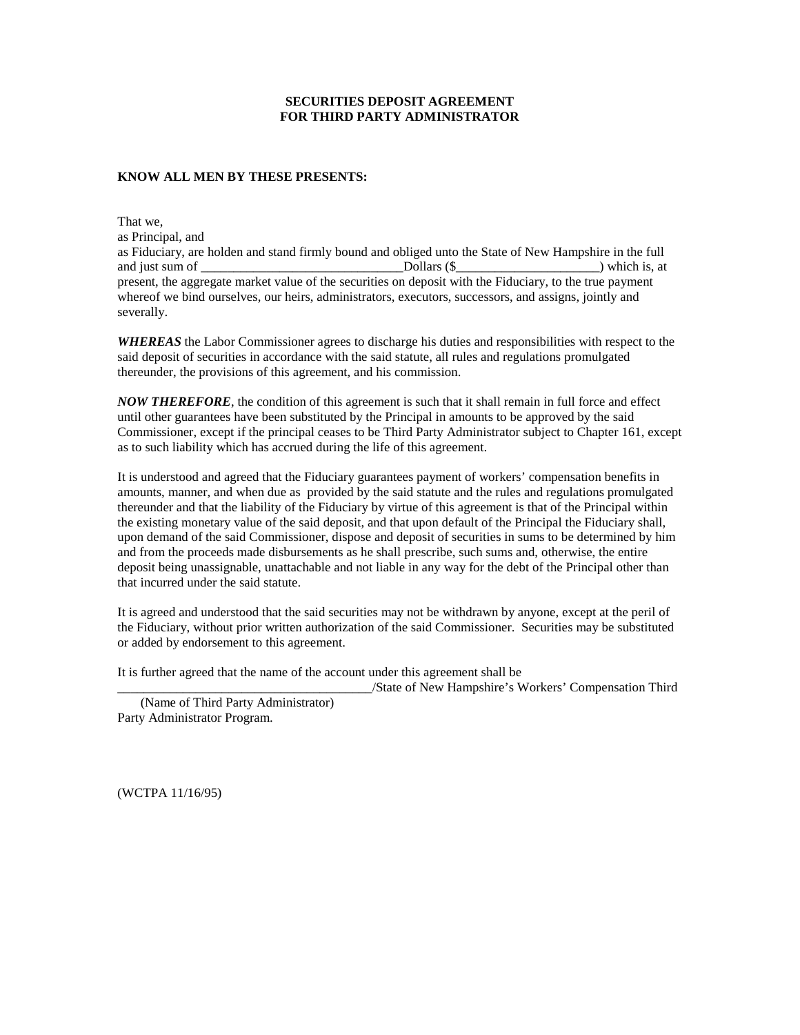## **SECURITIES DEPOSIT AGREEMENT FOR THIRD PARTY ADMINISTRATOR**

## **KNOW ALL MEN BY THESE PRESENTS:**

That we, as Principal, and as Fiduciary, are holden and stand firmly bound and obliged unto the State of New Hampshire in the full and just sum of \_\_\_\_\_\_\_\_\_\_\_\_\_\_\_\_\_\_\_\_\_\_\_\_\_\_\_\_\_\_\_Dollars (\$\_\_\_\_\_\_\_\_\_\_\_\_\_\_\_\_\_\_\_\_\_\_) which is, at present, the aggregate market value of the securities on deposit with the Fiduciary, to the true payment whereof we bind ourselves, our heirs, administrators, executors, successors, and assigns, jointly and severally.

*WHEREAS* the Labor Commissioner agrees to discharge his duties and responsibilities with respect to the said deposit of securities in accordance with the said statute, all rules and regulations promulgated thereunder, the provisions of this agreement, and his commission.

*NOW THEREFORE*, the condition of this agreement is such that it shall remain in full force and effect until other guarantees have been substituted by the Principal in amounts to be approved by the said Commissioner, except if the principal ceases to be Third Party Administrator subject to Chapter 161, except as to such liability which has accrued during the life of this agreement.

It is understood and agreed that the Fiduciary guarantees payment of workers' compensation benefits in amounts, manner, and when due as provided by the said statute and the rules and regulations promulgated thereunder and that the liability of the Fiduciary by virtue of this agreement is that of the Principal within the existing monetary value of the said deposit, and that upon default of the Principal the Fiduciary shall, upon demand of the said Commissioner, dispose and deposit of securities in sums to be determined by him and from the proceeds made disbursements as he shall prescribe, such sums and, otherwise, the entire deposit being unassignable, unattachable and not liable in any way for the debt of the Principal other than that incurred under the said statute.

It is agreed and understood that the said securities may not be withdrawn by anyone, except at the peril of the Fiduciary, without prior written authorization of the said Commissioner. Securities may be substituted or added by endorsement to this agreement.

It is further agreed that the name of the account under this agreement shall be

\_\_\_\_\_\_\_\_\_\_\_\_\_\_\_\_\_\_\_\_\_\_\_\_\_\_\_\_\_\_\_\_\_\_\_\_\_\_\_/State of New Hampshire's Workers' Compensation Third (Name of Third Party Administrator) Party Administrator Program.

(WCTPA 11/16/95)